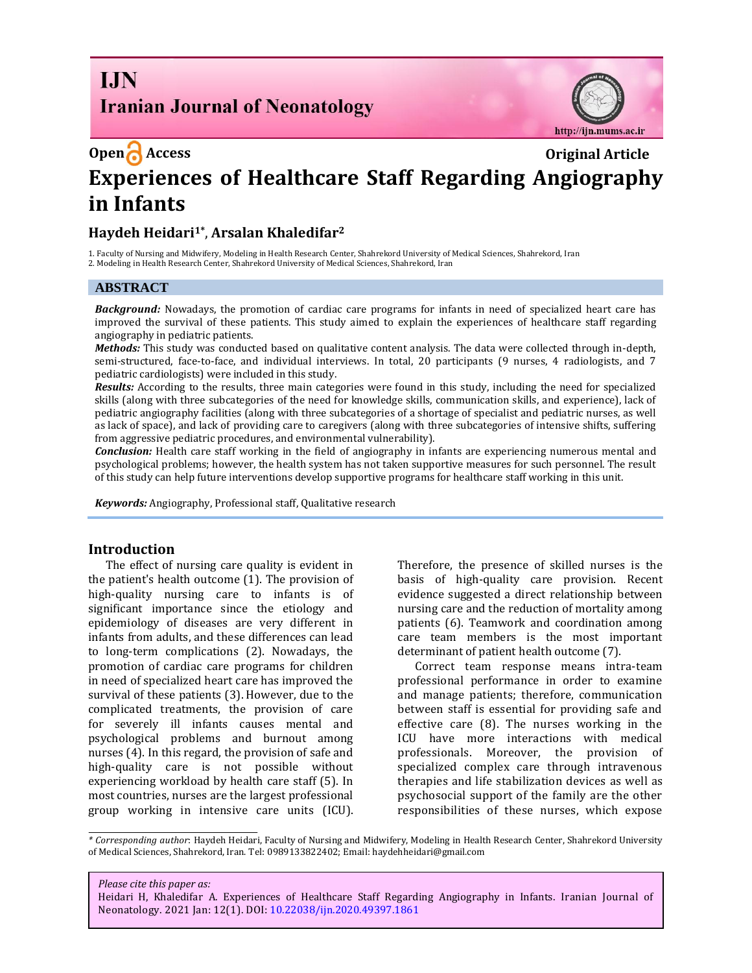# **I.IN Iranian Journal of Neonatology**



# **Open Access Original Article Experiences of Healthcare Staff Regarding Angiography in Infants**

## **Haydeh Heidari1\*** , **Arsalan Khaledifar<sup>2</sup>**

1. Faculty of Nursing and Midwifery, Modeling in Health Research Center, Shahrekord University of Medical Sciences, Shahrekord, Iran 2. Modeling in Health Research Center, Shahrekord University of Medical Sciences, Shahrekord, Iran

#### **ABSTRACT**

*Background:* Nowadays, the promotion of cardiac care programs for infants in need of specialized heart care has improved the survival of these patients. This study aimed to explain the experiences of healthcare staff regarding angiography in pediatric patients.

*Methods:* This study was conducted based on qualitative content analysis. The data were collected through in-depth, semi-structured, face-to-face, and individual interviews. In total, 20 participants (9 nurses, 4 radiologists, and 7 pediatric cardiologists) were included in this study.

*Results:* According to the results, three main categories were found in this study, including the need for specialized skills (along with three subcategories of the need for knowledge skills, communication skills, and experience), lack of pediatric angiography facilities (along with three subcategories of a shortage of specialist and pediatric nurses, as well as lack of space), and lack of providing care to caregivers (along with three subcategories of intensive shifts, suffering from aggressive pediatric procedures, and environmental vulnerability).

*Conclusion:* Health care staff working in the field of angiography in infants are experiencing numerous mental and psychological problems; however, the health system has not taken supportive measures for such personnel. The result of this study can help future interventions develop supportive programs for healthcare staff working in this unit.

*Keywords:* Angiography, Professional staff, Qualitative research

#### **Introduction**

The effect of nursing care quality is evident in the patient's health outcome (1). The provision of high-quality nursing care to infants is of significant importance since the etiology and epidemiology of diseases are very different in infants from adults, and these differences can lead to long-term complications (2). Nowadays, the promotion of cardiac care programs for children in need of specialized heart care has improved the survival of these patients (3). However, due to the complicated treatments, the provision of care for severely ill infants causes mental and psychological problems and burnout among nurses (4). In this regard, the provision of safe and high-quality care is not possible without experiencing workload by health care staff (5). In most countries, nurses are the largest professional group working in intensive care units (ICU).

Therefore, the presence of skilled nurses is the basis of high-quality care provision. Recent evidence suggested a direct relationship between nursing care and the reduction of mortality among patients (6). Teamwork and coordination among care team members is the most important determinant of patient health outcome (7).

Correct team response means intra-team professional performance in order to examine and manage patients; therefore, communication between staff is essential for providing safe and effective care (8). The nurses working in the ICU have more interactions with medical professionals. Moreover, the provision of specialized complex care through intravenous therapies and life stabilization devices as well as psychosocial support of the family are the other responsibilities of these nurses, which expose

*\* Corresponding author*: Haydeh Heidari, Faculty of Nursing and Midwifery, Modeling in Health Research Center, Shahrekord University of Medical Sciences, Shahrekord, Iran. Tel: 0989133822402; Email: haydehheidari@gmail.com

#### *Please cite this paper as:*

Heidari H, Khaledifar A. Experiences of Healthcare Staff Regarding Angiography in Infants. Iranian Journal of Neonatology. 2021 Jan: 12(1). DOI: 10.22038/ijn.2020.49397.1861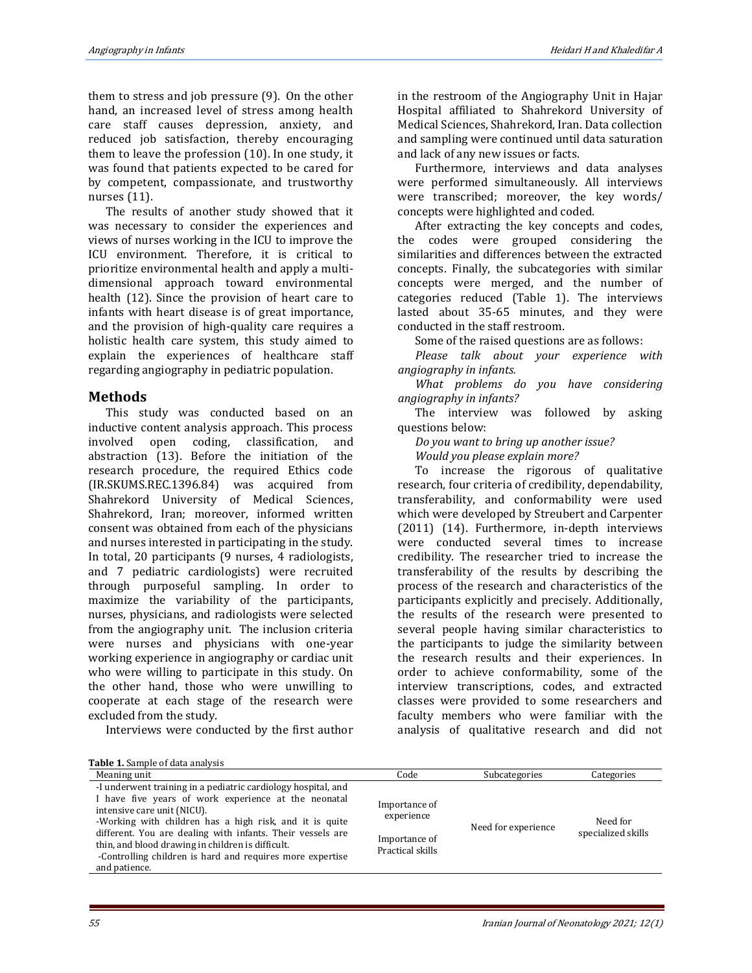them to stress and job pressure (9). On the other hand, an increased level of stress among health care staff causes depression, anxiety, and reduced job satisfaction, thereby encouraging them to leave the profession (10). In one study, it was found that patients expected to be cared for by competent, compassionate, and trustworthy nurses (11).

The results of another study showed that it was necessary to consider the experiences and views of nurses working in the ICU to improve the ICU environment. Therefore, it is critical to prioritize environmental health and apply a multidimensional approach toward environmental health (12). Since the provision of heart care to infants with heart disease is of great importance, and the provision of high-quality care requires a holistic health care system, this study aimed to explain the experiences of healthcare staff regarding angiography in pediatric population.

#### **Methods**

This study was conducted based on an inductive content analysis approach. This process involved open coding, classification, and abstraction (13). Before the initiation of the research procedure, the required Ethics code (IR.SKUMS.REC.1396.84) was acquired from Shahrekord University of Medical Sciences, Shahrekord, Iran; moreover, informed written consent was obtained from each of the physicians and nurses interested in participating in the study. In total, 20 participants (9 nurses, 4 radiologists, and 7 pediatric cardiologists) were recruited through purposeful sampling. In order to maximize the variability of the participants, nurses, physicians, and radiologists were selected from the angiography unit. The inclusion criteria were nurses and physicians with one-year working experience in angiography or cardiac unit who were willing to participate in this study. On the other hand, those who were unwilling to cooperate at each stage of the research were excluded from the study.

Interviews were conducted by the first author

in the restroom of the Angiography Unit in Hajar Hospital affiliated to Shahrekord University of Medical Sciences, Shahrekord, Iran. Data collection and sampling were continued until data saturation and lack of any new issues or facts.

Furthermore, interviews and data analyses were performed simultaneously. All interviews were transcribed; moreover, the key words/ concepts were highlighted and coded.

After extracting the key concepts and codes, the codes were grouped considering the similarities and differences between the extracted concepts. Finally, the subcategories with similar concepts were merged, and the number of categories reduced (Table 1). The interviews lasted about 35-65 minutes, and they were conducted in the staff restroom.

Some of the raised questions are as follows:

*Please talk about your experience with angiography in infants.* 

*What problems do you have considering angiography in infants?* 

The interview was followed by asking questions below:

*Do you want to bring up another issue?*

*Would you please explain more?* 

To increase the rigorous of qualitative research, four criteria of credibility, dependability, transferability, and conformability were used which were developed by Streubert and Carpenter (2011) (14). Furthermore, in-depth interviews were conducted several times to increase credibility. The researcher tried to increase the transferability of the results by describing the process of the research and characteristics of the participants explicitly and precisely. Additionally, the results of the research were presented to several people having similar characteristics to the participants to judge the similarity between the research results and their experiences. In order to achieve conformability, some of the interview transcriptions, codes, and extracted classes were provided to some researchers and faculty members who were familiar with the analysis of qualitative research and did not

**Table 1.** Sample of data analysis

| <b>Table 1.</b> Sample of data analysis                                                                                                                                                                                                                                                                                                                                                                          |                                                                  |                     |                                |
|------------------------------------------------------------------------------------------------------------------------------------------------------------------------------------------------------------------------------------------------------------------------------------------------------------------------------------------------------------------------------------------------------------------|------------------------------------------------------------------|---------------------|--------------------------------|
| Meaning unit                                                                                                                                                                                                                                                                                                                                                                                                     | Code                                                             | Subcategories       | Categories                     |
| -I underwent training in a pediatric cardiology hospital, and<br>I have five years of work experience at the neonatal<br>intensive care unit (NICU).<br>-Working with children has a high risk, and it is quite<br>different. You are dealing with infants. Their vessels are<br>thin, and blood drawing in children is difficult.<br>-Controlling children is hard and requires more expertise<br>and patience. | Importance of<br>experience<br>Importance of<br>Practical skills | Need for experience | Need for<br>specialized skills |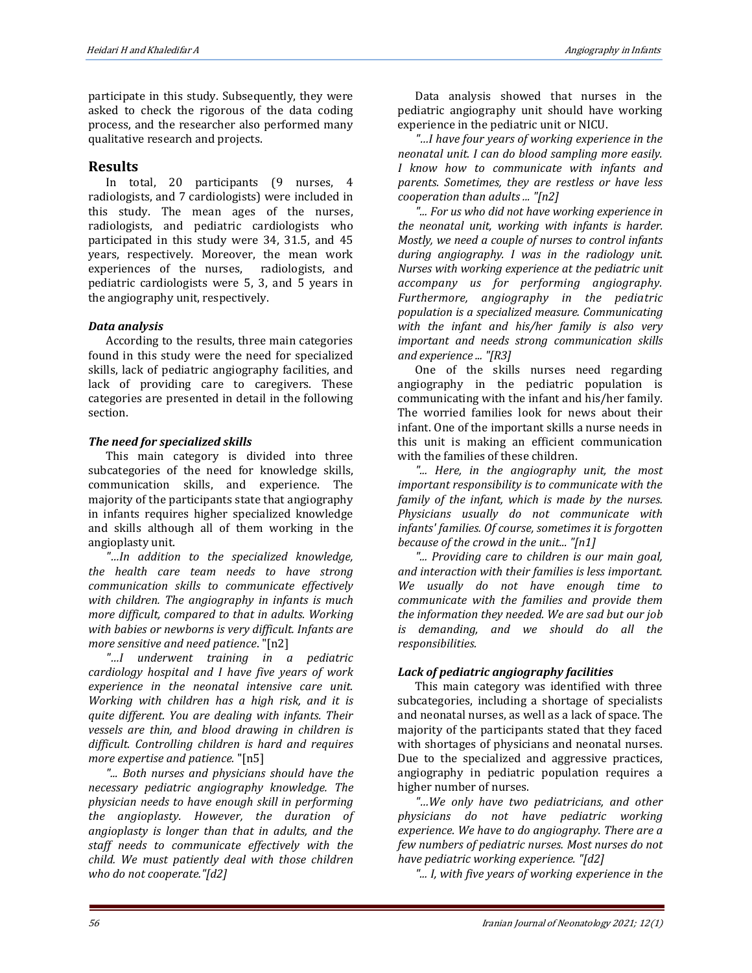participate in this study. Subsequently, they were asked to check the rigorous of the data coding process, and the researcher also performed many qualitative research and projects.

### **Results**

In total, 20 participants (9 nurses, 4 radiologists, and 7 cardiologists) were included in this study. The mean ages of the nurses, radiologists, and pediatric cardiologists who participated in this study were 34, 31.5, and 45 years, respectively. Moreover, the mean work experiences of the nurses, radiologists, and pediatric cardiologists were 5, 3, and 5 years in the angiography unit, respectively.

#### *Data analysis*

According to the results, three main categories found in this study were the need for specialized skills, lack of pediatric angiography facilities, and lack of providing care to caregivers. These categories are presented in detail in the following section.

#### *The need for specialized skills*

This main category is divided into three subcategories of the need for knowledge skills, communication skills, and experience. The majority of the participants state that angiography in infants requires higher specialized knowledge and skills although all of them working in the angioplasty unit.

*"…In addition to the specialized knowledge, the health care team needs to have strong communication skills to communicate effectively with children. The angiography in infants is much more difficult, compared to that in adults. Working with babies or newborns is very difficult. Infants are more sensitive and need patience*. "[n2]

*"…I underwent training in a pediatric cardiology hospital and I have five years of work experience in the neonatal intensive care unit. Working with children has a high risk, and it is quite different. You are dealing with infants. Their vessels are thin, and blood drawing in children is difficult. Controlling children is hard and requires more expertise and patience.* "[n5]

*"... Both nurses and physicians should have the necessary pediatric angiography knowledge. The physician needs to have enough skill in performing the angioplasty. However, the duration of angioplasty is longer than that in adults, and the staff needs to communicate effectively with the child. We must patiently deal with those children who do not cooperate."[d2]* 

Data analysis showed that nurses in the pediatric angiography unit should have working experience in the pediatric unit or NICU.

*"…I have four years of working experience in the neonatal unit. I can do blood sampling more easily. I know how to communicate with infants and parents. Sometimes, they are restless or have less cooperation than adults ... "[n2]*

*"... For us who did not have working experience in the neonatal unit, working with infants is harder. Mostly, we need a couple of nurses to control infants during angiography. I was in the radiology unit. Nurses with working experience at the pediatric unit accompany us for performing angiography. Furthermore, angiography in the pediatric population is a specialized measure. Communicating with the infant and his/her family is also very important and needs strong communication skills and experience ... "[R3]* 

One of the skills nurses need regarding angiography in the pediatric population is communicating with the infant and his/her family. The worried families look for news about their infant. One of the important skills a nurse needs in this unit is making an efficient communication with the families of these children.

*"... Here, in the angiography unit, the most important responsibility is to communicate with the family of the infant, which is made by the nurses. Physicians usually do not communicate with infants' families. Of course, sometimes it is forgotten because of the crowd in the unit... "[n1]*

*"... Providing care to children is our main goal, and interaction with their families is less important. We usually do not have enough time to communicate with the families and provide them the information they needed. We are sad but our job is demanding, and we should do all the responsibilities.*

## *Lack of pediatric angiography facilities*

This main category was identified with three subcategories, including a shortage of specialists and neonatal nurses, as well as a lack of space. The majority of the participants stated that they faced with shortages of physicians and neonatal nurses. Due to the specialized and aggressive practices, angiography in pediatric population requires a higher number of nurses.

*"…We only have two pediatricians, and other physicians do not have pediatric working experience. We have to do angiography. There are a few numbers of pediatric nurses. Most nurses do not have pediatric working experience. "[d2]*

*"... I, with five years of working experience in the*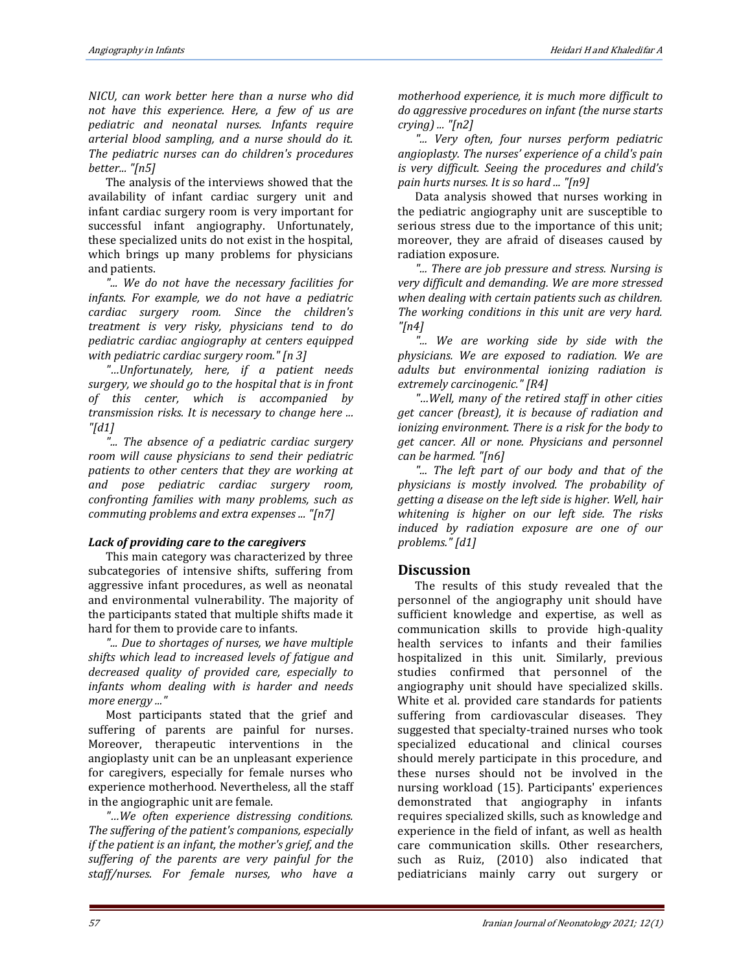*NICU, can work better here than a nurse who did not have this experience. Here, a few of us are pediatric and neonatal nurses. Infants require arterial blood sampling, and a nurse should do it. The pediatric nurses can do children's procedures better... "[n5]*

The analysis of the interviews showed that the availability of infant cardiac surgery unit and infant cardiac surgery room is very important for successful infant angiography. Unfortunately, these specialized units do not exist in the hospital, which brings up many problems for physicians and patients.

*"... We do not have the necessary facilities for infants. For example, we do not have a pediatric cardiac surgery room. Since the children's treatment is very risky, physicians tend to do pediatric cardiac angiography at centers equipped with pediatric cardiac surgery room." [n 3]*

*"…Unfortunately, here, if a patient needs surgery, we should go to the hospital that is in front of this center, which is accompanied by transmission risks. It is necessary to change here ... "[d1]*

*"... The absence of a pediatric cardiac surgery room will cause physicians to send their pediatric patients to other centers that they are working at and pose pediatric cardiac surgery room, confronting families with many problems, such as commuting problems and extra expenses ... "[n7]*

#### *Lack of providing care to the caregivers*

This main category was characterized by three subcategories of intensive shifts, suffering from aggressive infant procedures, as well as neonatal and environmental vulnerability. The majority of the participants stated that multiple shifts made it hard for them to provide care to infants.

*"... Due to shortages of nurses, we have multiple shifts which lead to increased levels of fatigue and decreased quality of provided care, especially to infants whom dealing with is harder and needs more energy ..."*

Most participants stated that the grief and suffering of parents are painful for nurses. Moreover, therapeutic interventions in the angioplasty unit can be an unpleasant experience for caregivers, especially for female nurses who experience motherhood. Nevertheless, all the staff in the angiographic unit are female.

*"…We often experience distressing conditions. The suffering of the patient's companions, especially if the patient is an infant, the mother's grief, and the suffering of the parents are very painful for the staff/nurses. For female nurses, who have a* 

*motherhood experience, it is much more difficult to do aggressive procedures on infant (the nurse starts crying) ... "[n2]*

*"... Very often, four nurses perform pediatric angioplasty. The nurses' experience of a child's pain is very difficult. Seeing the procedures and child's pain hurts nurses. It is so hard ... "[n9]*

Data analysis showed that nurses working in the pediatric angiography unit are susceptible to serious stress due to the importance of this unit; moreover, they are afraid of diseases caused by radiation exposure.

*"... There are job pressure and stress. Nursing is very difficult and demanding. We are more stressed when dealing with certain patients such as children. The working conditions in this unit are very hard. "[n4]*

*"... We are working side by side with the physicians. We are exposed to radiation. We are adults but environmental ionizing radiation is extremely carcinogenic." [R4]*

*"…Well, many of the retired staff in other cities get cancer (breast), it is because of radiation and ionizing environment. There is a risk for the body to get cancer. All or none. Physicians and personnel can be harmed. "[n6]*

*"... The left part of our body and that of the physicians is mostly involved. The probability of getting a disease on the left side is higher. Well, hair whitening is higher on our left side. The risks induced by radiation exposure are one of our problems." [d1]*

#### **Discussion**

The results of this study revealed that the personnel of the angiography unit should have sufficient knowledge and expertise, as well as communication skills to provide high-quality health services to infants and their families hospitalized in this unit. Similarly, previous studies confirmed that personnel of the angiography unit should have specialized skills. White et al. provided care standards for patients suffering from cardiovascular diseases. They suggested that specialty-trained nurses who took specialized educational and clinical courses should merely participate in this procedure, and these nurses should not be involved in the nursing workload (15). Participants' experiences demonstrated that angiography in infants requires specialized skills, such as knowledge and experience in the field of infant, as well as health care communication skills. Other researchers, such as Ruiz, (2010) also indicated that pediatricians mainly carry out surgery or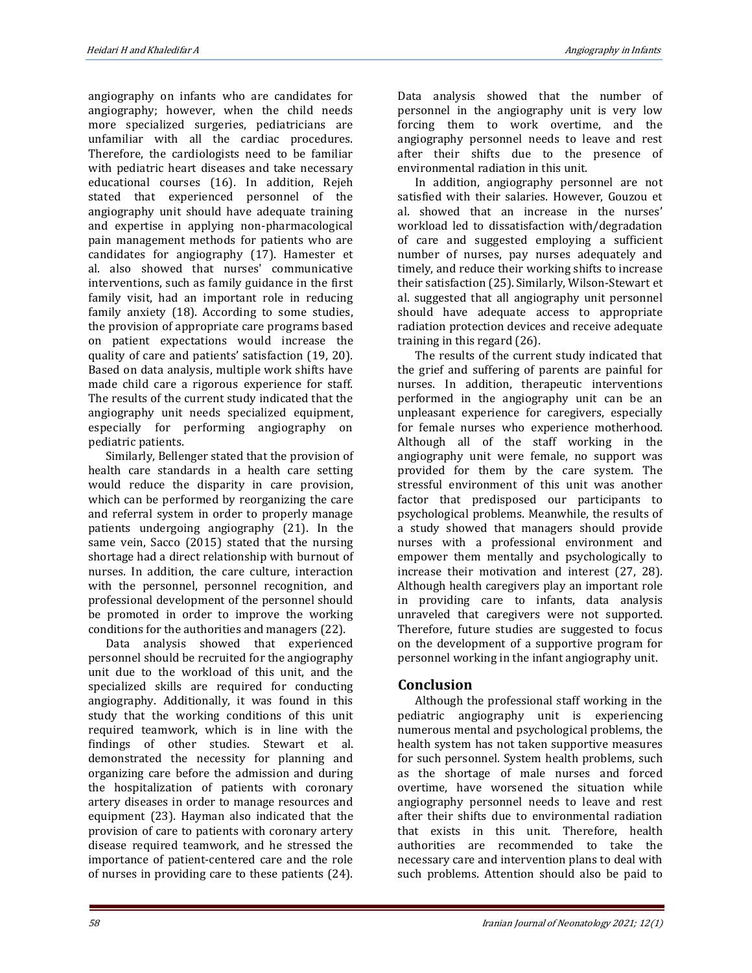angiography on infants who are candidates for angiography; however, when the child needs more specialized surgeries, pediatricians are unfamiliar with all the cardiac procedures. Therefore, the cardiologists need to be familiar with pediatric heart diseases and take necessary educational courses (16). In addition, Rejeh stated that experienced personnel of the angiography unit should have adequate training and expertise in applying non-pharmacological pain management methods for patients who are candidates for angiography (17). Hamester et al. also showed that nurses' communicative interventions, such as family guidance in the first family visit, had an important role in reducing family anxiety (18). According to some studies, the provision of appropriate care programs based on patient expectations would increase the quality of care and patients' satisfaction (19, 20). Based on data analysis, multiple work shifts have made child care a rigorous experience for staff. The results of the current study indicated that the angiography unit needs specialized equipment, especially for performing angiography on pediatric patients.

Similarly, Bellenger stated that the provision of health care standards in a health care setting would reduce the disparity in care provision, which can be performed by reorganizing the care and referral system in order to properly manage patients undergoing angiography (21). In the same vein, Sacco (2015) stated that the nursing shortage had a direct relationship with burnout of nurses. In addition, the care culture, interaction with the personnel, personnel recognition, and professional development of the personnel should be promoted in order to improve the working conditions for the authorities and managers (22).

Data analysis showed that experienced personnel should be recruited for the angiography unit due to the workload of this unit, and the specialized skills are required for conducting angiography. Additionally, it was found in this study that the working conditions of this unit required teamwork, which is in line with the findings of other studies. Stewart et al. demonstrated the necessity for planning and organizing care before the admission and during the hospitalization of patients with coronary artery diseases in order to manage resources and equipment (23). Hayman also indicated that the provision of care to patients with coronary artery disease required teamwork, and he stressed the importance of patient-centered care and the role of nurses in providing care to these patients (24).

Data analysis showed that the number of personnel in the angiography unit is very low forcing them to work overtime, and the angiography personnel needs to leave and rest after their shifts due to the presence of environmental radiation in this unit.

In addition, angiography personnel are not satisfied with their salaries. However, Gouzou et al. showed that an increase in the nurses' workload led to dissatisfaction with/degradation of care and suggested employing a sufficient number of nurses, pay nurses adequately and timely, and reduce their working shifts to increase their satisfaction (25). Similarly, Wilson-Stewart et al. suggested that all angiography unit personnel should have adequate access to appropriate radiation protection devices and receive adequate training in this regard (26).

The results of the current study indicated that the grief and suffering of parents are painful for nurses. In addition, therapeutic interventions performed in the angiography unit can be an unpleasant experience for caregivers, especially for female nurses who experience motherhood. Although all of the staff working in the angiography unit were female, no support was provided for them by the care system. The stressful environment of this unit was another factor that predisposed our participants to psychological problems. Meanwhile, the results of a study showed that managers should provide nurses with a professional environment and empower them mentally and psychologically to increase their motivation and interest (27, 28). Although health caregivers play an important role in providing care to infants, data analysis unraveled that caregivers were not supported. Therefore, future studies are suggested to focus on the development of a supportive program for personnel working in the infant angiography unit.

## **Conclusion**

Although the professional staff working in the pediatric angiography unit is experiencing numerous mental and psychological problems, the health system has not taken supportive measures for such personnel. System health problems, such as the shortage of male nurses and forced overtime, have worsened the situation while angiography personnel needs to leave and rest after their shifts due to environmental radiation that exists in this unit. Therefore, health authorities are recommended to take the necessary care and intervention plans to deal with such problems. Attention should also be paid to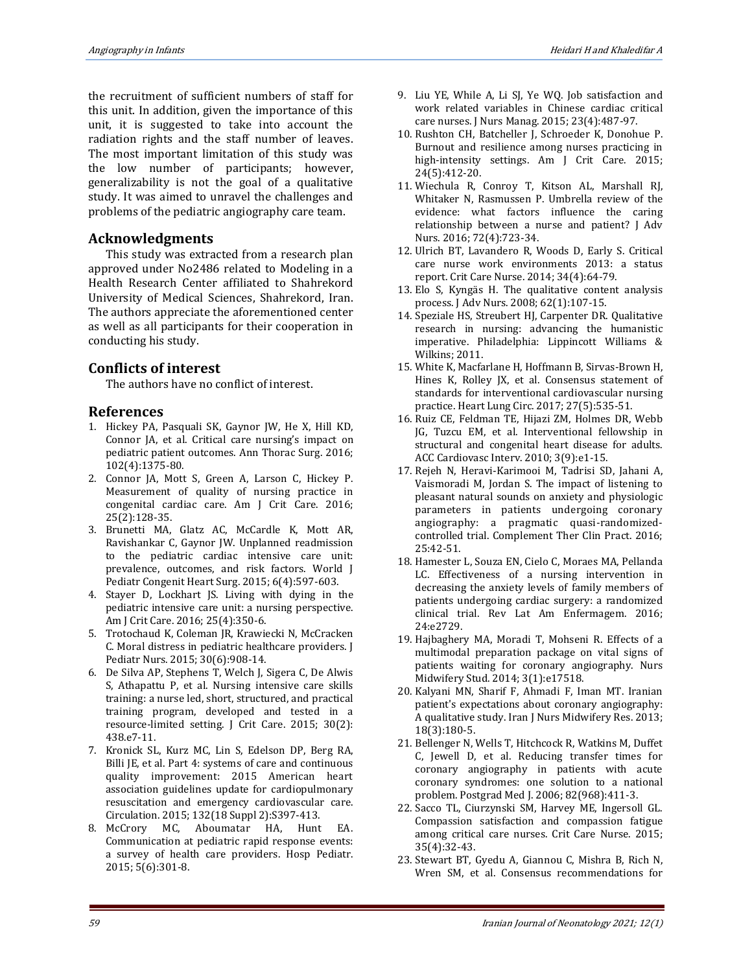the recruitment of sufficient numbers of staff for this unit. In addition, given the importance of this unit, it is suggested to take into account the radiation rights and the staff number of leaves. The most important limitation of this study was the low number of participants; however, generalizability is not the goal of a qualitative study. It was aimed to unravel the challenges and problems of the pediatric angiography care team.

### **Acknowledgments**

This study was extracted from a research plan approved under No2486 related to Modeling in a Health Research Center affiliated to Shahrekord University of Medical Sciences, Shahrekord, Iran. The authors appreciate the aforementioned center as well as all participants for their cooperation in conducting his study.

#### **Conflicts of interest**

The authors have no conflict of interest.

#### **References**

- 1. Hickey PA, Pasquali SK, Gaynor JW, He X, Hill KD, Connor JA, et al. Critical care nursing's impact on pediatric patient outcomes. Ann Thorac Surg. 2016; 102(4):1375-80.
- 2. Connor JA, Mott S, Green A, Larson C, Hickey P. Measurement of quality of nursing practice in congenital cardiac care. Am J Crit Care. 2016; 25(2):128-35.
- 3. Brunetti MA, Glatz AC, McCardle K, Mott AR, Ravishankar C, Gaynor JW. Unplanned readmission to the pediatric cardiac intensive care unit: prevalence, outcomes, and risk factors. World J Pediatr Congenit Heart Surg. 2015; 6(4):597-603.
- 4. Stayer D, Lockhart JS. Living with dying in the pediatric intensive care unit: a nursing perspective. Am J Crit Care. 2016; 25(4):350-6.
- 5. Trotochaud K, Coleman JR, Krawiecki N, McCracken C. Moral distress in pediatric healthcare providers. J Pediatr Nurs. 2015; 30(6):908-14.
- 6. De Silva AP, Stephens T, Welch J, Sigera C, De Alwis S, Athapattu P, et al. Nursing intensive care skills training: a nurse led, short, structured, and practical training program, developed and tested in a resource-limited setting. J Crit Care. 2015; 30(2): 438.e7-11.
- 7. Kronick SL, Kurz MC, Lin S, Edelson DP, Berg RA, Billi JE, et al. Part 4: systems of care and continuous quality improvement: 2015 American heart association guidelines update for cardiopulmonary resuscitation and emergency cardiovascular care. Circulation. 2015; 132(18 Suppl 2):S397-413.
- 8. McCrory MC, Aboumatar HA, Hunt EA. Communication at pediatric rapid response events: a survey of health care providers. Hosp Pediatr. 2015; 5(6):301-8.
- 9. Liu YE, While A, Li SJ, Ye WQ. Job satisfaction and work related variables in Chinese cardiac critical care nurses. J Nurs Manag. 2015; 23(4):487-97.
- 10. Rushton CH, Batcheller J, Schroeder K, Donohue P. Burnout and resilience among nurses practicing in high-intensity settings. Am J Crit Care. 2015; 24(5):412-20.
- 11. Wiechula R, Conroy T, Kitson AL, Marshall RJ, Whitaker N, Rasmussen P. Umbrella review of the evidence: what factors influence the caring relationship between a nurse and patient? J Adv Nurs. 2016; 72(4):723-34.
- 12. Ulrich BT, Lavandero R, Woods D, Early S. Critical care nurse work environments 2013: a status report. Crit Care Nurse. 2014; 34(4):64-79.
- 13. Elo S, Kyngäs H. The qualitative content analysis process. J Adv Nurs. 2008; 62(1):107-15.
- 14. Speziale HS, Streubert HJ, Carpenter DR. Qualitative research in nursing: advancing the humanistic imperative. Philadelphia: Lippincott Williams & Wilkins; 2011.
- 15. White K, Macfarlane H, Hoffmann B, Sirvas-Brown H, Hines K, Rolley JX, et al. Consensus statement of standards for interventional cardiovascular nursing practice. Heart Lung Circ. 2017; 27(5):535-51.
- 16. Ruiz CE, Feldman TE, Hijazi ZM, Holmes DR, Webb JG, Tuzcu EM, et al. Interventional fellowship in structural and congenital heart disease for adults. ACC Cardiovasc Interv. 2010; 3(9):e1-15.
- 17. Rejeh N, Heravi-Karimooi M, Tadrisi SD, Jahani A, Vaismoradi M, Jordan S. The impact of listening to pleasant natural sounds on anxiety and physiologic parameters in patients undergoing coronary angiography: a pragmatic quasi-randomizedcontrolled trial. Complement Ther Clin Pract. 2016; 25:42-51.
- 18. Hamester L, Souza EN, Cielo C, Moraes MA, Pellanda LC. Effectiveness of a nursing intervention in decreasing the anxiety levels of family members of patients undergoing cardiac surgery: a randomized clinical trial. Rev Lat Am Enfermagem. 2016; 24:e2729.
- 19. Hajbaghery MA, Moradi T, Mohseni R. Effects of a multimodal preparation package on vital signs of patients waiting for coronary angiography. Nurs Midwifery Stud. 2014; 3(1):e17518.
- 20. Kalyani MN, Sharif F, Ahmadi F, Iman MT. Iranian patient's expectations about coronary angiography: A qualitative study. Iran J Nurs Midwifery Res. 2013; 18(3):180-5.
- 21. Bellenger N, Wells T, Hitchcock R, Watkins M, Duffet C, Jewell D, et al. Reducing transfer times for coronary angiography in patients with acute coronary syndromes: one solution to a national problem. Postgrad Med J. 2006; 82(968):411-3.
- 22. Sacco TL, Ciurzynski SM, Harvey ME, Ingersoll GL. Compassion satisfaction and compassion fatigue among critical care nurses. Crit Care Nurse. 2015; 35(4):32-43.
- 23. Stewart BT, Gyedu A, Giannou C, Mishra B, Rich N, Wren SM, et al. Consensus recommendations for